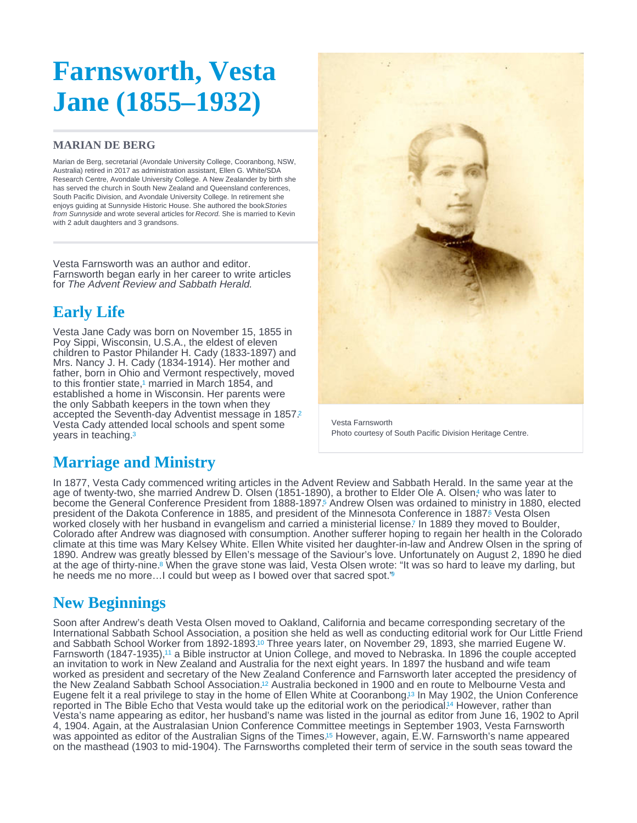# <span id="page-0-0"></span>Farnsworth, Vesta Jane (1855–1932)

#### MARIAN DE BERG

Marian de Berg, secretarial (Avondale University College, Cooranbong, NSW, Australia) retired in 2017 as administration assistant, Ellen G. White/SDA Research Centre, Avondale University College. A New Zealander by birth she has served the church in South New Zealand and Queensland conferences. South Pacific Division, and Avondale University College. In retirement she enjoys guiding at Sunnyside Historic House. She authored the book Stories from Sunnyside and wrote several articles for Record. She is married to Kevin with 2 adult daughters and 3 grandsons.

Vesta Farnsworth was an author and editor. Farnsworth began early in her career to write articles for The Advent Review and Sabbath Herald.

# Early Life

Vesta Jane Cady was born on November 15, 1855 in Poy Sippi, Wisconsin, U.S.A., the eldest of eleven children to Pastor Philander H. Cady (1833-1897) and Mrs. Nancy J. H. Cady (1834-1914). Her mother and father, born in Ohio and Vermont respectively, moved to this frontier state,<sup>1</sup> married in March 1854[,](#page-2-0) and established a home in Wisconsin. Her parents were the only Sabbath keepers in the town when they accepted the Seventh-day Adventist message in 1857. [2](#page-2-0) Vesta Cady attended local schools and spent some years in teaching. [3](#page-2-0)

Vesta Farnsworth Photo courtesy of South Pacific Division Heritage Centre.

### Marriage and Ministry

In 1877, Vesta Cady commenced writing articles in the Advent Review and Sabbath Herald. In the same year at the age of twenty-two[,](#page-2-0) she married Andrew D. Olsen (1851-1890), a brother to Elder Ole A. Olsen,4 who was later to become the General Conference President from 1888-1897.<sup>5</sup> Andrew Olsen was ordained to ministry in 1880, elected president of the Dakota Conference in 1885, and president of the Minnesota Conference in 1887<sup>6</sup> Vesta Olsen worked closely with her husband in evangelism and carried a ministerial license[.](#page-2-0) In 1889 they moved to Boulder, Colorado after Andrew was diagnosed with consumption. Another sufferer hoping to regain her health in the Colorado climate at this time was Mary Kelsey White. Ellen White visited her daughter-in-law and Andrew Olsen in the spring of 1890. Andrew was greatly blessed by Ellen's message of the Saviour's love. Unfortunately on August 2, 1890 he died at the age of thirty-nine.<sup>8</sup> When the grave stone was laid, Vesta Olsen wrote: "It was so hard to leave my darling, but he needs me no more...I could but weep as I bowed over that sacred spot.'<sup>[9](#page-2-0)</sup>

### New Beginnings

Soon after Andrew's death Vesta Olsen moved to Oakland, California and became corresponding secretary of the International Sabbath School Association, a position she held as well as conducting editorial work for Our Little Friend and Sabbath School Worker from 1892-1893.<sup>10</sup> Three years later, on November 29, 1893, she married Eugene W. Farnsworth (1847-1935),<sup>11</sup> a Bible instructor at Union College[,](#page-2-0) and moved to Nebraska. In 1896 the couple accepted an invitation to work in New Zealand and Australia for the next eight years. In 1897 the husband and wife team worked as president and secretary of the New Zealand Conference and Farnsworth later accepted the presidency of the New Zealand Sabbath School Association[.](#page-2-0)<sup>12</sup> Australia beckoned in 1900 and en route to Melbourne Vesta and Eugene felt it a real privilege to stay in the home of Ellen White at Cooranbong.<sup>13</sup> In May 1902, the Union Conference reported in The Bible Echo that Vesta would take up the editorial work on the periodical.<sup>14</sup> However, rather than Vesta's name appearing as editor, her husband's name was listed in the journal as editor from June 16, 1902 to April 4, 1904. Again, at the Australasian Union Conference Committee meetings in September 1903, Vesta Farnsworth was appointed as editor of the Australian Signs of the Times.<sup>15</sup> However, again, E.W[.](#page-2-0) Farnsworth's name appeared on the masthead (1903 to mid-1904). The Farnsworths completed their term of service in the south seas toward the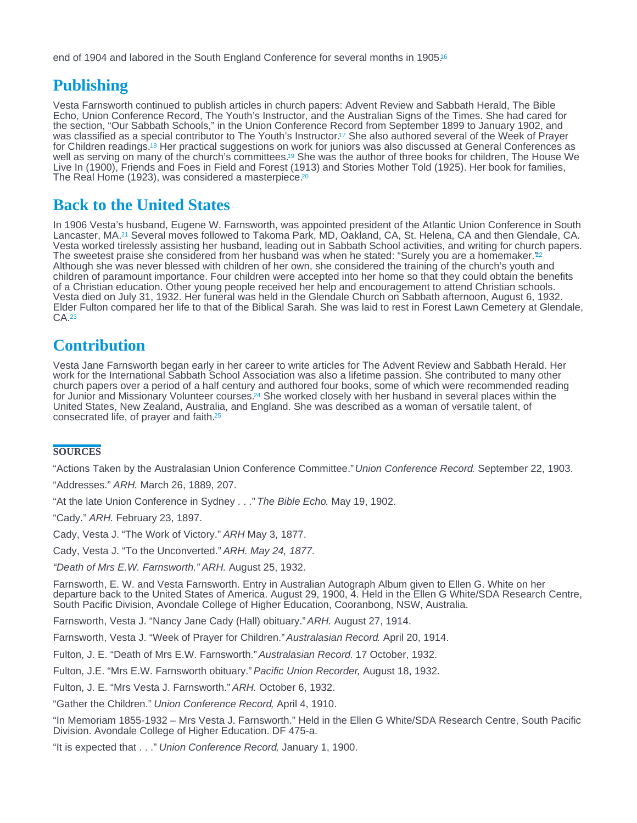<span id="page-1-0"></span>end of 1904 and labored in the South England Conference for several months in 1905.<sup>[16](#page-2-0)</sup>

## **Publishing**

Vesta Farnsworth continued to publish articles in church papers: Advent Review and Sabbath Herald, The Bible Echo, Union Conference Record, The Youth's Instructor, and the Australian Signs of the Times. She had cared for the section, "Our Sabbath Schools," in the Union Conference Record from September 1899 to January 1902, and was classified as a special contributor to The Youth's Instructor[.](#page-2-0)<sup>17</sup> She also authored several of the Week of Prayer for Children readings.<sup>18</sup> Her practical suggestions on work for juniors was also discussed at General Conferences as well as serving on many of the church's committees[.](#page-2-0)<sup>19</sup> She was the author of three books for children, The House We Live In (1900), Friends and Foes in Field and Forest (1913) and Stories Mother Told (1925). Her book for families, The Real Home (1923), was considered a masterpiece.<sup>[20](#page-2-0)</sup>

### Back to the United States

In 1906 Vesta's husband, Eugene W. Farnsworth, was appointed president of the Atlantic Union Conference in South Lancaster, MA.<sup>21</sup> Several moves followed to Takoma Park, MD, Oakland, CA, St. Helena, CA and then Glendale, CA. Vesta worked tirelessly assisting her husband, leading out in Sabbath School activities, and writing for church papers. The sweetest praise she considered from her husband was when he stated: "Surely you are a homemaker." [22](#page-2-0) Although she was never blessed with children of her own, she considered the training of the church's youth and children of paramount importance. Four children were accepted into her home so that they could obtain the benefits of a Christian education. Other young people received her help and encouragement to attend Christian schools. Vesta died on July 31, 1932. Her funeral was held in the Glendale Church on Sabbath afternoon, August 6, 1932. Elder Fulton compared her life to that of the Biblical Sarah. She was laid to rest in Forest Lawn Cemetery at Glendale, CA. [23](#page-2-0)

#### **Contribution**

Vesta Jane Farnsworth began early in her career to write articles for The Advent Review and Sabbath Herald. Her work for the International Sabbath School Association was also a lifetime passion. She contributed to many other church papers over a period of a half century and authored four books, some of which were recommended reading for Junior and Missionary Volunteer courses.<sup>24</sup> She worked closely with her husband in several places within the United States, New Zealand, Australia, and England. She was described as a woman of versatile talent, of consecrated life, of prayer and faith. [25](#page-3-0)

#### **SOURCES**

"Actions Taken by the Australasian Union Conference Committee." Union Conference Record. September 22, 1903.

"Addresses." ARH. March 26, 1889, 207.

"At the late Union Conference in Sydney . . ." The Bible Echo. May 19, 1902.

"Cady." ARH. February 23, 1897.

Cady, Vesta J. "The Work of Victory." ARH May 3, 1877.

Cady, Vesta J. "To the Unconverted." ARH. May 24, 1877.

"Death of Mrs E.W. Farnsworth." ARH. August 25, 1932.

Farnsworth, E. W. and Vesta Farnsworth. Entry in Australian Autograph Album given to Ellen G. White on her departure back to the United States of America. August 29, 1900, 4. Held in the Ellen G White/SDA Research Centre, South Pacific Division, Avondale College of Higher Education, Cooranbong, NSW, Australia.

Farnsworth, Vesta J. "Nancy Jane Cady (Hall) obituary."ARH. August 27, 1914.

Farnsworth, Vesta J. "Week of Prayer for Children." Australasian Record. April 20, 1914.

Fulton, J. E. "Death of Mrs E.W. Farnsworth." Australasian Record. 17 October, 1932.

Fulton, J.E. "Mrs E.W. Farnsworth obituary." Pacific Union Recorder, August 18, 1932.

Fulton, J. E. "Mrs Vesta J. Farnsworth." ARH. October 6, 1932.

"Gather the Children." Union Conference Record, April 4, 1910.

"In Memoriam 1855-1932 – Mrs Vesta J. Farnsworth." Held in the Ellen G White/SDA Research Centre, South Pacific Division. Avondale College of Higher Education. DF 475-a.

"It is expected that . . ." Union Conference Record, January 1, 1900.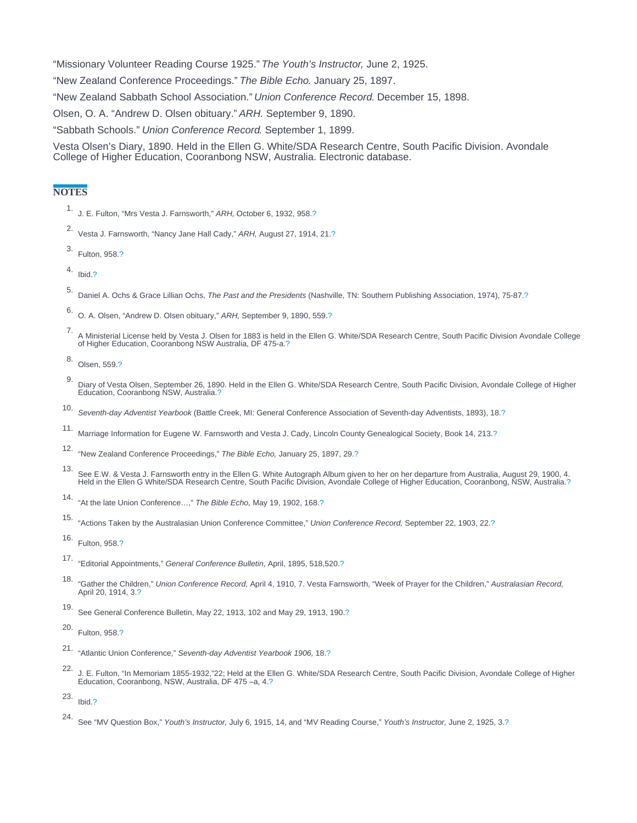<span id="page-2-0"></span>"Missionary Volunteer Reading Course 1925." The Youth's Instructor, June 2, 1925.

"New Zealand Conference Proceedings." The Bible Echo. January 25, 1897.

"New Zealand Sabbath School Association." Union Conference Record. December 15, 1898.

Olsen, O. A. "Andrew D. Olsen obituary." ARH. September 9, 1890.

"Sabbath Schools." Union Conference Record. September 1, 1899.

Vesta Olsen's Diary, 1890. Held in the Ellen G. White/SDA Research Centre, South Pacific Division. Avondale College of Higher Education, Cooranbong NSW, Australia. Electronic database.

#### **NOTES**

- 1. J. E. Fulton, "Mrs Vesta J. Farnsworth," ARH, October 6, 1932, 958[.?](#page-0-0)
- 2. Vesta J. Farnsworth, "Nancy Jane Hall Cady," ARH, August 27, 1914, 21[.?](#page-0-0)
- 3. Fulton, 958.[?](#page-0-0)
- 4. Ibid[.?](#page-0-0)
- 5. Daniel A. Ochs & Grace Lillian Ochs, The Past and the Presidents (Nashville, TN: Southern Publishing Association, 1974), 75-87.[?](#page-0-0)
- 6. O. A. Olsen, "Andrew D. Olsen obituary," ARH, September 9, 1890, 559[.?](#page-0-0)
- 7. A Ministerial License held by Vesta J. Olsen for 1883 is held in the Ellen G. White/SDA Research Centre, South Pacific Division Avondale College of Higher Education, Cooranbong NSW Australia, DF 475-a.[?](#page-0-0)
- 8. Olsen, 559[.?](#page-0-0)
- 9. Diary of Vesta Olsen, September 26, 1890. Held in the Ellen G. White/SDA Research Centre, South Pacific Division, Avondale College of Higher Education, Cooranbong NSW, Australia.[?](#page-0-0)
- 
- 10. Seventh-day Adventist Yearbook (Battle Creek, MI: General Conference Association of Seventh-day Adventists, 1893), 18.[?](#page-0-0)
- 11. Marriage Information for Eugene W. Farnsworth and Vesta J. Cady, Lincoln County Genealogical Society, Book 14, 213.[?](#page-0-0)
- 12. "New Zealand Conference Proceedings," The Bible Echo, January 25, 1897, 29.[?](#page-0-0)
- 13. See E.W. & Vesta J. Farnsworth entry in the Ellen G. White Autograph Album given to her on her departure from Australia, August 29, 1900, 4.<br>[?](#page-0-0).Held in the Ellen G White/SDA Research Centre, South Pacific Division, Avon
- 14. "At the late Union Conference…," The Bible Echo, May 19, 1902, 168[.?](#page-0-0)
- 15. "Actions Taken by the Australasian Union Conference Committee," Union Conference Record, September 22, 1903, 22.[?](#page-0-0)

- 17. "Editorial Appointments," General Conference Bulletin, April, 1895, 518,520.[?](#page-1-0)
- 18. "Gather the Children," Union Conference Record, April 4, 1910, 7. Vesta Farnsworth, "Week of Prayer for the Children," Australasian Record, April 20, 1914, 3.[?](#page-1-0)
- 19. See General Conference Bulletin, May 22, 1913, 102 and May 29, 1913, 190.[?](#page-1-0)

20. Fulton, 958.[?](#page-1-0)

- 21. "Atlantic Union Conference," Seventh-day Adventist Yearbook 1906, 18.[?](#page-1-0)
- 22. J. E. Fulton, "In Memoriam 1855-1932,"22; Held at the Ellen G. White/SDA Research Centre, South Pacific Division, Avondale College of Higher Education, Cooranbong, NSW, Australia, DF 475 –a, 4[.?](#page-1-0)

24. See "MV Question Box," Youth's Instructor, July 6, 1915, 14, and "MV Reading Course," Youth's Instructor, June 2, 1925, 3[.?](#page-1-0)

<sup>16.</sup> Fulton, 958.[?](#page-1-0)

<sup>23.</sup> Ibid[.?](#page-1-0)